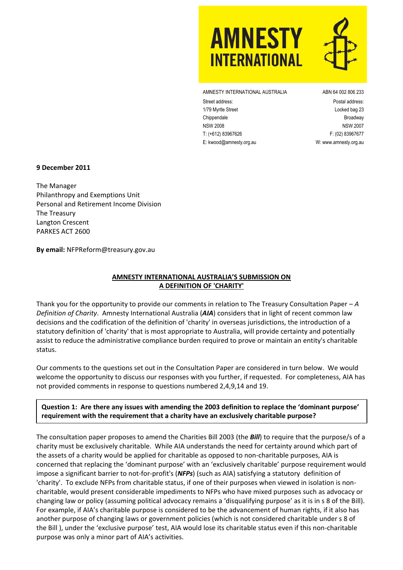

AMNESTY INTERNATIONAL AUSTRALIA ABN 64 002 806 233

Street address: Postal address: 1/79 Myrtle Street Locked bag 23 Chippendale Broadway NSW 2008 NSW 2007 T: (+612) 83967626 F: (02) 83967677 E: kwood@amnesty.org.au W[: www.amnesty.org.au](http://www.amnesty.org.au/)

#### **9 December 2011**

The Manager Philanthropy and Exemptions Unit Personal and Retirement Income Division The Treasury Langton Crescent PARKES ACT 2600

**By email:** NFPReform@treasury.gov.au

## **AMNESTY INTERNATIONAL AUSTRALIA'S SUBMISSION ON A DEFINITION OF 'CHARITY'**

Thank you for the opportunity to provide our comments in relation to The Treasury Consultation Paper – *A Definition of Charity*. Amnesty International Australia (*AIA*) considers that in light of recent common law decisions and the codification of the definition of 'charity' in overseas jurisdictions, the introduction of a statutory definition of 'charity' that is most appropriate to Australia, will provide certainty and potentially assist to reduce the administrative compliance burden required to prove or maintain an entity's charitable status.

Our comments to the questions set out in the Consultation Paper are considered in turn below. We would welcome the opportunity to discuss our responses with you further, if requested. For completeness, AIA has not provided comments in response to questions numbered 2,4,9,14 and 19.

## **Question 1: Are there any issues with amending the 2003 definition to replace the 'dominant purpose' requirement with the requirement that a charity have an exclusively charitable purpose?**

The consultation paper proposes to amend the Charities Bill 2003 (the *Bill*) to require that the purpose/s of a charity must be exclusively charitable. While AIA understands the need for certainty around which part of the assets of a charity would be applied for charitable as opposed to non-charitable purposes, AIA is concerned that replacing the 'dominant purpose' with an 'exclusively charitable' purpose requirement would impose a significant barrier to not-for-profit's (*NFPs*) (such as AIA) satisfying a statutory definition of 'charity'. To exclude NFPs from charitable status, if one of their purposes when viewed in isolation is noncharitable, would present considerable impediments to NFPs who have mixed purposes such as advocacy or changing law or policy (assuming political advocacy remains a 'disqualifying purpose' as it is in s 8 of the Bill). For example, if AIA's charitable purpose is considered to be the advancement of human rights, if it also has another purpose of changing laws or government policies (which is not considered charitable under s 8 of the Bill ), under the 'exclusive purpose' test, AIA would lose its charitable status even if this non-charitable purpose was only a minor part of AIA's activities.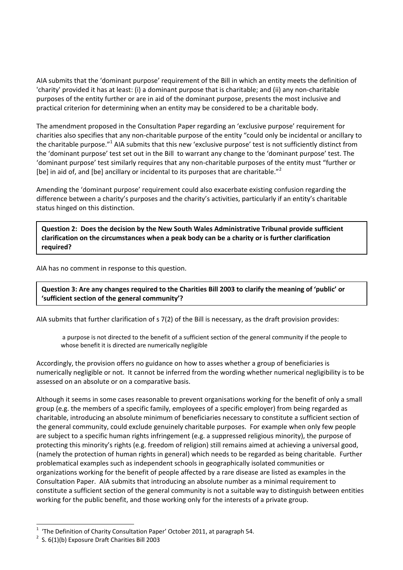AIA submits that the 'dominant purpose' requirement of the Bill in which an entity meets the definition of 'charity' provided it has at least: (i) a dominant purpose that is charitable; and (ii) any non-charitable purposes of the entity further or are in aid of the dominant purpose, presents the most inclusive and practical criterion for determining when an entity may be considered to be a charitable body.

The amendment proposed in the Consultation Paper regarding an 'exclusive purpose' requirement for charities also specifies that any non-charitable purpose of the entity "could only be incidental or ancillary to the charitable purpose."<sup>1</sup> AIA submits that this new 'exclusive purpose' test is not sufficiently distinct from the 'dominant purpose' test set out in the Bill to warrant any change to the 'dominant purpose' test. The 'dominant purpose' test similarly requires that any non-charitable purposes of the entity must "further or [be] in aid of, and [be] ancillary or incidental to its purposes that are charitable."<sup>2</sup>

Amending the 'dominant purpose' requirement could also exacerbate existing confusion regarding the difference between a charity's purposes and the charity's activities, particularly if an entity's charitable status hinged on this distinction.

**Question 2: Does the decision by the New South Wales Administrative Tribunal provide sufficient clarification on the circumstances when a peak body can be a charity or is further clarification required?**

AIA has no comment in response to this question.

**Question 3: Are any changes required to the Charities Bill 2003 to clarify the meaning of 'public' or 'sufficient section of the general community'?**

AIA submits that further clarification of s 7(2) of the Bill is necessary, as the draft provision provides:

a purpose is not directed to the benefit of a sufficient section of the general community if the people to whose benefit it is directed are numerically negligible

Accordingly, the provision offers no guidance on how to asses whether a group of beneficiaries is numerically negligible or not. It cannot be inferred from the wording whether numerical negligibility is to be assessed on an absolute or on a comparative basis.

Although it seems in some cases reasonable to prevent organisations working for the benefit of only a small group (e.g. the members of a specific family, employees of a specific employer) from being regarded as charitable, introducing an absolute minimum of beneficiaries necessary to constitute a sufficient section of the general community, could exclude genuinely charitable purposes. For example when only few people are subject to a specific human rights infringement (e.g. a suppressed religious minority), the purpose of protecting this minority's rights (e.g. freedom of religion) still remains aimed at achieving a universal good, (namely the protection of human rights in general) which needs to be regarded as being charitable. Further problematical examples such as independent schools in geographically isolated communities or organizations working for the benefit of people affected by a rare disease are listed as examples in the Consultation Paper. AIA submits that introducing an absolute number as a minimal requirement to constitute a sufficient section of the general community is not a suitable way to distinguish between entities working for the public benefit, and those working only for the interests of a private group.

l

 $1$  'The Definition of Charity Consultation Paper' October 2011, at paragraph 54.

 $2$  S. 6(1)(b) Exposure Draft Charities Bill 2003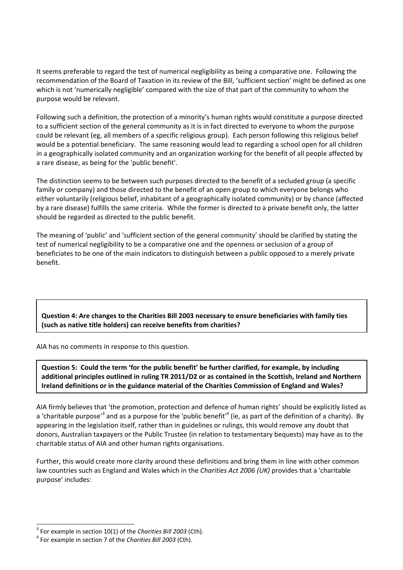It seems preferable to regard the test of numerical negligibility as being a comparative one. Following the recommendation of the Board of Taxation in its review of the Bill, 'sufficient section' might be defined as one which is not 'numerically negligible' compared with the size of that part of the community to whom the purpose would be relevant.

Following such a definition, the protection of a minority's human rights would constitute a purpose directed to a sufficient section of the general community as it is in fact directed to everyone to whom the purpose could be relevant (eg, all members of a specific religious group). Each person following this religious belief would be a potential beneficiary. The same reasoning would lead to regarding a school open for all children in a geographically isolated community and an organization working for the benefit of all people affected by a rare disease, as being for the 'public benefit'.

The distinction seems to be between such purposes directed to the benefit of a secluded group (a specific family or company) and those directed to the benefit of an open group to which everyone belongs who either voluntarily (religious belief, inhabitant of a geographically isolated community) or by chance (affected by a rare disease) fulfills the same criteria. While the former is directed to a private benefit only, the latter should be regarded as directed to the public benefit.

The meaning of 'public' and 'sufficient section of the general community' should be clarified by stating the test of numerical negligibility to be a comparative one and the openness or seclusion of a group of beneficiates to be one of the main indicators to distinguish between a public opposed to a merely private benefit.

# **Question 4: Are changes to the Charities Bill 2003 necessary to ensure beneficiaries with family ties (such as native title holders) can receive benefits from charities?**

AIA has no comments in response to this question.

**Question 5: Could the term 'for the public benefit' be further clarified, for example, by including additional principles outlined in ruling TR 2011/D2 or as contained in the Scottish, Ireland and Northern Ireland definitions or in the guidance material of the Charities Commission of England and Wales?**

AIA firmly believes that 'the promotion, protection and defence of human rights' should be explicitly listed as a 'charitable purpose'<sup>3</sup> and as a purpose for the 'public benefit'<sup>4</sup> (ie, as part of the definition of a charity). By appearing in the legislation itself, rather than in guidelines or rulings, this would remove any doubt that donors, Australian taxpayers or the Public Trustee (in relation to testamentary bequests) may have as to the charitable status of AIA and other human rights organisations.

Further, this would create more clarity around these definitions and bring them in line with other common law countries such as England and Wales which in the *Charities Act 2006 (UK)* provides that a 'charitable purpose' includes:

l 3 For example in section 10(1) of the *Charities Bill 2003* (Cth).

<sup>4</sup> For example in section 7 of the *Charities Bill 2003* (Cth).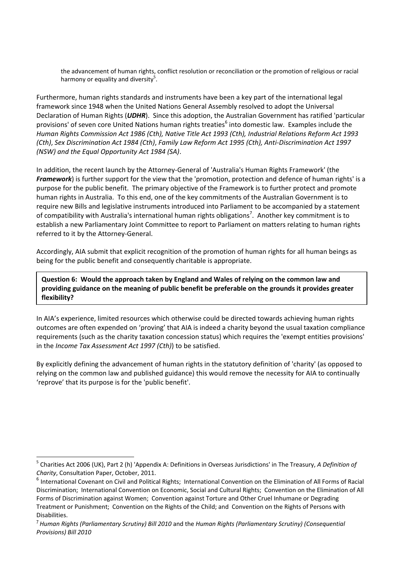the advancement of human rights, conflict resolution or reconciliation or the promotion of religious or racial harmony or equality and diversity<sup>5</sup>.

Furthermore, human rights standards and instruments have been a key part of the international legal framework since 1948 when the United Nations General Assembly resolved to adopt the Universal Declaration of Human Rights (*UDHR*). Since this adoption, the Australian Government has ratified 'particular provisions' of seven core United Nations human rights treaties<sup>6</sup> into domestic law. Examples include the *Human Rights Commission Act 1986 (Cth), Native Title Act 1993 (Cth), Industrial Relations Reform Act 1993 (Cth)*, *Sex Discrimination Act 1984 (Cth)*, *Family Law Reform Act 1995 (Cth), Anti-Discrimination Act 1997 (NSW) and the Equal Opportunity Act 1984 (SA)*.

In addition, the recent launch by the Attorney-General of 'Australia's Human Rights Framework' (the *Framework*) is further support for the view that the 'promotion, protection and defence of human rights' is a purpose for the public benefit. The primary objective of the Framework is to further protect and promote human rights in Australia. To this end, one of the key commitments of the Australian Government is to require new Bills and legislative instruments introduced into Parliament to be accompanied by a statement of compatibility with Australia's international human rights obligations<sup>7</sup>. Another key commitment is to establish a new Parliamentary Joint Committee to report to Parliament on matters relating to human rights referred to it by the Attorney-General.

Accordingly, AIA submit that explicit recognition of the promotion of human rights for all human beings as being for the public benefit and consequently charitable is appropriate.

**Question 6: Would the approach taken by England and Wales of relying on the common law and providing guidance on the meaning of public benefit be preferable on the grounds it provides greater flexibility?**

In AIA's experience, limited resources which otherwise could be directed towards achieving human rights outcomes are often expended on 'proving' that AIA is indeed a charity beyond the usual taxation compliance requirements (such as the charity taxation concession status) which requires the 'exempt entities provisions' in the *Income Tax Assessment Act 1997 (Cth)*) to be satisfied.

By explicitly defining the advancement of human rights in the statutory definition of 'charity' (as opposed to relying on the common law and published guidance) this would remove the necessity for AIA to continually 'reprove' that its purpose is for the 'public benefit'.

l

<sup>5</sup> Charities Act 2006 (UK), Part 2 (h) 'Appendix A: Definitions in Overseas Jurisdictions' in The Treasury, *A Definition of Charity*, Consultation Paper, October, 2011.

<sup>&</sup>lt;sup>6</sup> International Covenant on Civil and Political Rights; International Convention on the Elimination of All Forms of Racial Discrimination; International Convention on Economic, Social and Cultural Rights; Convention on the Elimination of All Forms of Discrimination against Women; Convention against Torture and Other Cruel Inhumane or Degrading Treatment or Punishment; Convention on the Rights of the Child; and Convention on the Rights of Persons with Disabilities.

<sup>7</sup> *Human Rights (Parliamentary Scrutiny) Bill 2010* and the *Human Rights (Parliamentary Scrutiny) (Consequential Provisions) Bill 2010*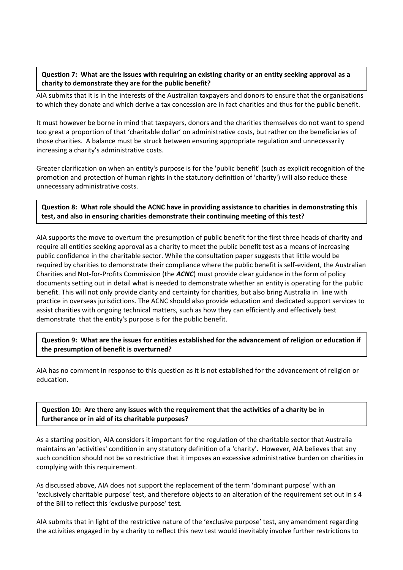## **Question 7: What are the issues with requiring an existing charity or an entity seeking approval as a charity to demonstrate they are for the public benefit?**

AIA submits that it is in the interests of the Australian taxpayers and donors to ensure that the organisations to which they donate and which derive a tax concession are in fact charities and thus for the public benefit.

It must however be borne in mind that taxpayers, donors and the charities themselves do not want to spend too great a proportion of that 'charitable dollar' on administrative costs, but rather on the beneficiaries of those charities. A balance must be struck between ensuring appropriate regulation and unnecessarily increasing a charity's administrative costs.

Greater clarification on when an entity's purpose is for the 'public benefit' (such as explicit recognition of the promotion and protection of human rights in the statutory definition of 'charity') will also reduce these unnecessary administrative costs.

**Question 8: What role should the ACNC have in providing assistance to charities in demonstrating this test, and also in ensuring charities demonstrate their continuing meeting of this test?**

AIA supports the move to overturn the presumption of public benefit for the first three heads of charity and require all entities seeking approval as a charity to meet the public benefit test as a means of increasing public confidence in the charitable sector. While the consultation paper suggests that little would be required by charities to demonstrate their compliance where the public benefit is self-evident, the Australian Charities and Not-for-Profits Commission (the *ACNC*) must provide clear guidance in the form of policy documents setting out in detail what is needed to demonstrate whether an entity is operating for the public benefit. This will not only provide clarity and certainty for charities, but also bring Australia in line with practice in overseas jurisdictions. The ACNC should also provide education and dedicated support services to assist charities with ongoing technical matters, such as how they can efficiently and effectively best demonstrate that the entity's purpose is for the public benefit.

#### **Question 9: What are the issues for entities established for the advancement of religion or education if the presumption of benefit is overturned?**

AIA has no comment in response to this question as it is not established for the advancement of religion or education.

**Question 10: Are there any issues with the requirement that the activities of a charity be in furtherance or in aid of its charitable purposes?**

As a starting position, AIA considers it important for the regulation of the charitable sector that Australia maintains an 'activities' condition in any statutory definition of a 'charity'. However, AIA believes that any such condition should not be so restrictive that it imposes an excessive administrative burden on charities in complying with this requirement.

As discussed above, AIA does not support the replacement of the term 'dominant purpose' with an 'exclusively charitable purpose' test, and therefore objects to an alteration of the requirement set out in s 4 of the Bill to reflect this 'exclusive purpose' test.

AIA submits that in light of the restrictive nature of the 'exclusive purpose' test, any amendment regarding the activities engaged in by a charity to reflect this new test would inevitably involve further restrictions to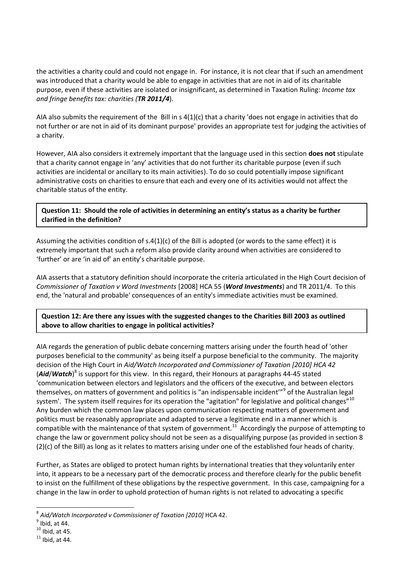the activities a charity could and could not engage in. For instance, it is not clear that if such an amendment was introduced that a charity would be able to engage in activities that are not in aid of its charitable purpose, even if these activities are isolated or insignificant, as determined in Taxation Ruling: *Income tax and fringe benefits tax: charities (TR 2011/4*).

AIA also submits the requirement of the Bill in s 4(1)(c) that a charity 'does not engage in activities that do not further or are not in aid of its dominant purpose' provides an appropriate test for judging the activities of a charity.

However, AIA also considers it extremely important that the language used in this section **does not** stipulate that a charity cannot engage in 'any' activities that do not further its charitable purpose (even if such activities are incidental or ancillary to its main activities). To do so could potentially impose significant administrative costs on charities to ensure that each and every one of its activities would not affect the charitable status of the entity.

**Question 11: Should the role of activities in determining an entity's status as a charity be further clarified in the definition?**

Assuming the activities condition of  $s.4(1)(c)$  of the Bill is adopted (or words to the same effect) it is extremely important that such a reform also provide clarity around when activities are considered to 'further' or are 'in aid of' an entity's charitable purpose.

AIA asserts that a statutory definition should incorporate the criteria articulated in the High Court decision of *Commissioner of Taxation v Word Investments* [2008] HCA 55 (*Word Investments*) and TR 2011/4. To this end, the 'natural and probable' consequences of an entity's immediate activities must be examined.

**Question 12: Are there any issues with the suggested changes to the Charities Bill 2003 as outlined above to allow charities to engage in political activities?**

AIA regards the generation of public debate concerning matters arising under the fourth head of 'other purposes beneficial to the community' as being itself a purpose beneficial to the community. The majority decision of the High Court in *Aid/Watch Incorporated and Commissioner of Taxation [2010] HCA 42*  (*Aid/Watch*)<sup>8</sup> is support for this view. In this regard, their Honours at paragraphs 44-45 stated 'communication between electors and legislators and the officers of the executive, and between electors themselves, on matters of government and politics is "an indispensable incident'"<sup>9</sup> of the Australian legal system'. The system itself requires for its operation the "agitation" for legislative and political changes"<sup>10</sup> Any burden which the common law places upon communication respecting matters of government and politics must be reasonably appropriate and adapted to serve a legitimate end in a manner which is compatible with the maintenance of that system of government.<sup>11</sup> Accordingly the purpose of attempting to change the law or government policy should not be seen as a disqualifying purpose (as provided in section 8 (2)(c) of the Bill) as long as it relates to matters arising under one of the established four heads of charity.

Further, as States are obliged to protect human rights by international treaties that they voluntarily enter into, it appears to be a necessary part of the democratic process and therefore clearly for the public benefit to insist on the fulfillment of these obligations by the respective government. In this case, campaigning for a change in the law in order to uphold protection of human rights is not related to advocating a specific

l

<sup>8</sup> *Aid/Watch Incorporated v Commissioner of Taxation [2010]* HCA 42.

 $<sup>9</sup>$  Ibid, at 44.</sup>

 $10$  Ibid, at 45.

 $11$  Ibid, at 44.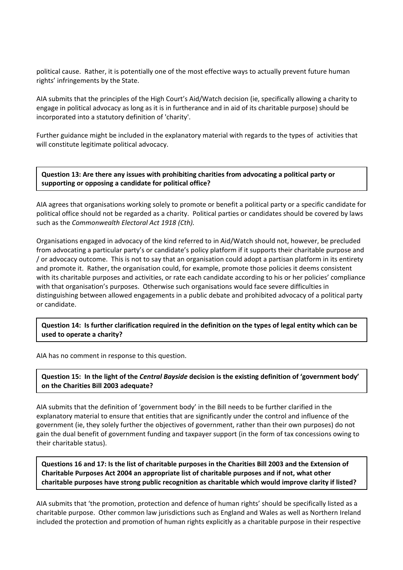political cause. Rather, it is potentially one of the most effective ways to actually prevent future human rights' infringements by the State.

AIA submits that the principles of the High Court's Aid/Watch decision (ie, specifically allowing a charity to engage in political advocacy as long as it is in furtherance and in aid of its charitable purpose) should be incorporated into a statutory definition of 'charity'.

Further guidance might be included in the explanatory material with regards to the types of activities that will constitute legitimate political advocacy.

**Question 13: Are there any issues with prohibiting charities from advocating a political party or supporting or opposing a candidate for political office?**

AIA agrees that organisations working solely to promote or benefit a political party or a specific candidate for political office should not be regarded as a charity. Political parties or candidates should be covered by laws such as the *Commonwealth Electoral Act 1918 (Cth).*

Organisations engaged in advocacy of the kind referred to in Aid/Watch should not, however, be precluded from advocating a particular party's or candidate's policy platform if it supports their charitable purpose and / or advocacy outcome. This is not to say that an organisation could adopt a partisan platform in its entirety and promote it. Rather, the organisation could, for example, promote those policies it deems consistent with its charitable purposes and activities, or rate each candidate according to his or her policies' compliance with that organisation's purposes. Otherwise such organisations would face severe difficulties in distinguishing between allowed engagements in a public debate and prohibited advocacy of a political party or candidate.

**Question 14: Is further clarification required in the definition on the types of legal entity which can be used to operate a charity?**

AIA has no comment in response to this question.

**Question 15: In the light of the** *Central Bayside* **decision is the existing definition of 'government body' on the Charities Bill 2003 adequate?**

AIA submits that the definition of 'government body' in the Bill needs to be further clarified in the explanatory material to ensure that entities that are significantly under the control and influence of the government (ie, they solely further the objectives of government, rather than their own purposes) do not gain the dual benefit of government funding and taxpayer support (in the form of tax concessions owing to their charitable status).

**Questions 16 and 17: Is the list of charitable purposes in the Charities Bill 2003 and the Extension of Charitable Purposes Act 2004 an appropriate list of charitable purposes and if not, what other charitable purposes have strong public recognition as charitable which would improve clarity if listed?**

AIA submits that 'the promotion, protection and defence of human rights' should be specifically listed as a charitable purpose. Other common law jurisdictions such as England and Wales as well as Northern Ireland included the protection and promotion of human rights explicitly as a charitable purpose in their respective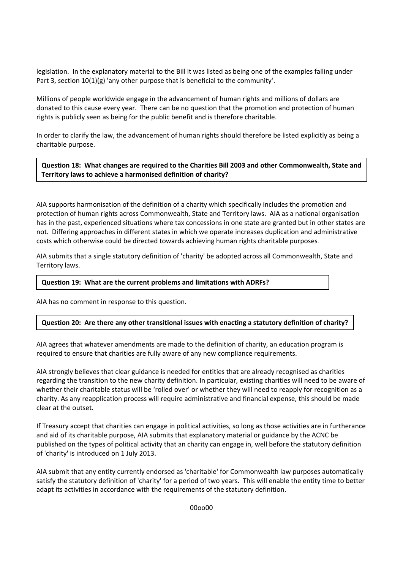legislation. In the explanatory material to the Bill it was listed as being one of the examples falling under Part 3, section  $10(1)(g)$  'any other purpose that is beneficial to the community'.

Millions of people worldwide engage in the advancement of human rights and millions of dollars are donated to this cause every year. There can be no question that the promotion and protection of human rights is publicly seen as being for the public benefit and is therefore charitable.

In order to clarify the law, the advancement of human rights should therefore be listed explicitly as being a charitable purpose.

**Question 18: What changes are required to the Charities Bill 2003 and other Commonwealth, State and Territory laws to achieve a harmonised definition of charity?**

AIA supports harmonisation of the definition of a charity which specifically includes the promotion and protection of human rights across Commonwealth, State and Territory laws. AIA as a national organisation has in the past, experienced situations where tax concessions in one state are granted but in other states are not. Differing approaches in different states in which we operate increases duplication and administrative costs which otherwise could be directed towards achieving human rights charitable purposes.

AIA submits that a single statutory definition of 'charity' be adopted across all Commonwealth, State and Territory laws.

#### **Question 19: What are the current problems and limitations with ADRFs?**

AIA has no comment in response to this question.

## **Question 20: Are there any other transitional issues with enacting a statutory definition of charity?**

AIA agrees that whatever amendments are made to the definition of charity, an education program is required to ensure that charities are fully aware of any new compliance requirements.

AIA strongly believes that clear guidance is needed for entities that are already recognised as charities regarding the transition to the new charity definition. In particular, existing charities will need to be aware of whether their charitable status will be 'rolled over' or whether they will need to reapply for recognition as a charity. As any reapplication process will require administrative and financial expense, this should be made clear at the outset.

If Treasury accept that charities can engage in political activities, so long as those activities are in furtherance and aid of its charitable purpose, AIA submits that explanatory material or guidance by the ACNC be published on the types of political activity that an charity can engage in, well before the statutory definition of 'charity' is introduced on 1 July 2013.

AIA submit that any entity currently endorsed as 'charitable' for Commonwealth law purposes automatically satisfy the statutory definition of 'charity' for a period of two years. This will enable the entity time to better adapt its activities in accordance with the requirements of the statutory definition.

00oo00